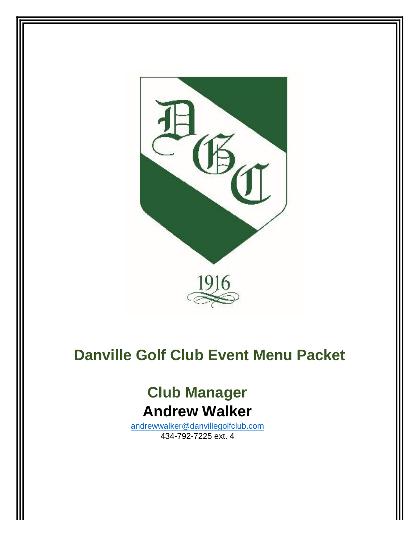

# **Danville Golf Club Event Menu Packet**

# **Club Manager Andrew Walker**

[andrewwalker@danvillegolfclub.com](mailto:andrewwalker@danvillegolfclub.com) 434-792-7225 ext. 4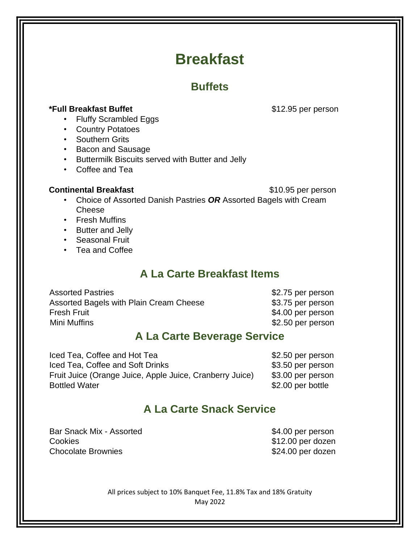# **Breakfast**

# **Buffets**

### **\*Full Breakfast Buffet buffet 312.95 per person**

- Fluffy Scrambled Eggs
- Country Potatoes
- Southern Grits
- Bacon and Sausage
- Buttermilk Biscuits served with Butter and Jelly
- Coffee and Tea

#### **Continental Breakfast Continental Breakfast 10.95** per person

- Choice of Assorted Danish Pastries *OR* Assorted Bagels with Cream Cheese
- Fresh Muffins
- Butter and Jelly
- Seasonal Fruit
- Tea and Coffee

# **A La Carte Breakfast Items**

| <b>Assorted Pastries</b>                |
|-----------------------------------------|
| Assorted Bagels with Plain Cream Cheese |
| <b>Fresh Fruit</b>                      |
| Mini Muffins                            |

\$2.75 per person \$3.75 per person \$4.00 per person \$2.50 per person

### **A La Carte Beverage Service**

Iced Tea, Coffee and Hot Tea  $$2.50$  per person Iced Tea, Coffee and Soft Drinks  $$3.50$  per person Fruit Juice (Orange Juice, Apple Juice, Cranberry Juice) \$3.00 per person Bottled Water \$2.00 per bottle

# **A La Carte Snack Service**

Bar Snack Mix - Assorted \$4.00 per person Cookies **\$12.00 per dozen** Chocolate Brownies **\$24.00 per dozen**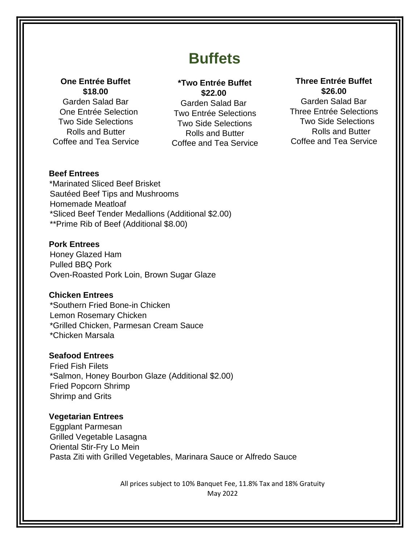# **Buffets**

#### **One Entrée Buffet \$18.00**

Garden Salad Bar One Entrée Selection Two Side Selections Rolls and Butter Coffee and Tea Service

### **\*Two Entrée Buffet \$22.00**

Garden Salad Bar Two Entrée Selections Two Side Selections Rolls and Butter Coffee and Tea Service

### **Three Entrée Buffet \$26.00**

Garden Salad Bar Three Entrée Selections Two Side Selections Rolls and Butter Coffee and Tea Service

#### **Beef Entrees**

\*Marinated Sliced Beef Brisket Sautéed Beef Tips and Mushrooms Homemade Meatloaf \*Sliced Beef Tender Medallions (Additional \$2.00) \*\*Prime Rib of Beef (Additional \$8.00)

#### **Pork Entrees**

Honey Glazed Ham Pulled BBQ Pork Oven-Roasted Pork Loin, Brown Sugar Glaze

#### **Chicken Entrees**

\*Southern Fried Bone-in Chicken Lemon Rosemary Chicken \*Grilled Chicken, Parmesan Cream Sauce \*Chicken Marsala

#### **Seafood Entrees**

Fried Fish Filets \*Salmon, Honey Bourbon Glaze (Additional \$2.00) Fried Popcorn Shrimp Shrimp and Grits

#### **Vegetarian Entrees**

Eggplant Parmesan Grilled Vegetable Lasagna Oriental Stir-Fry Lo Mein Pasta Ziti with Grilled Vegetables, Marinara Sauce or Alfredo Sauce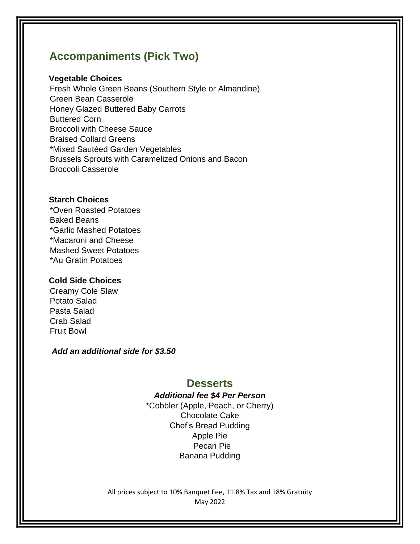# **Accompaniments (Pick Two)**

#### **Vegetable Choices**

Fresh Whole Green Beans (Southern Style or Almandine) Green Bean Casserole Honey Glazed Buttered Baby Carrots Buttered Corn Broccoli with Cheese Sauce Braised Collard Greens \*Mixed Sautéed Garden Vegetables Brussels Sprouts with Caramelized Onions and Bacon Broccoli Casserole

#### **Starch Choices**

\*Oven Roasted Potatoes Baked Beans \*Garlic Mashed Potatoes \*Macaroni and Cheese Mashed Sweet Potatoes \*Au Gratin Potatoes

#### **Cold Side Choices**

Creamy Cole Slaw Potato Salad Pasta Salad Crab Salad Fruit Bowl

*Add an additional side for \$3.50*

### **Desserts**

### *Additional fee \$4 Per Person*

\*Cobbler (Apple, Peach, or Cherry) Chocolate Cake Chef's Bread Pudding Apple Pie Pecan Pie Banana Pudding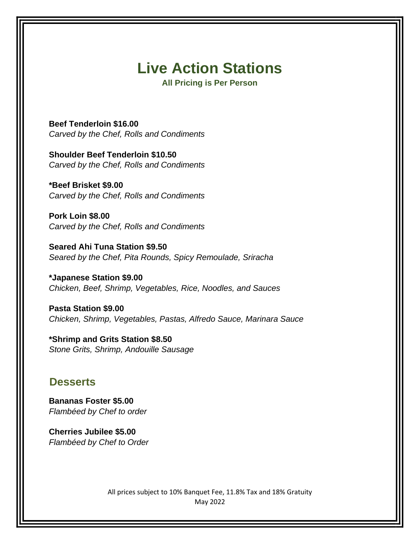# **Live Action Stations**

**All Pricing is Per Person** 

**Beef Tenderloin \$16.00** *Carved by the Chef, Rolls and Condiments* 

**Shoulder Beef Tenderloin \$10.50**  *Carved by the Chef, Rolls and Condiments*

**\*Beef Brisket \$9.00**  *Carved by the Chef, Rolls and Condiments*

**Pork Loin \$8.00**  *Carved by the Chef, Rolls and Condiments* 

**Seared Ahi Tuna Station \$9.50**  *Seared by the Chef, Pita Rounds, Spicy Remoulade, Sriracha*

**\*Japanese Station \$9.00**  *Chicken, Beef, Shrimp, Vegetables, Rice, Noodles, and Sauces* 

**Pasta Station \$9.00**  *Chicken, Shrimp, Vegetables, Pastas, Alfredo Sauce, Marinara Sauce* 

**\*Shrimp and Grits Station \$8.50** *Stone Grits, Shrimp, Andouille Sausage* 

### **Desserts**

**Bananas Foster \$5.00**  *Flambéed by Chef to order* 

**Cherries Jubilee \$5.00**  *Flambéed by Chef to Order*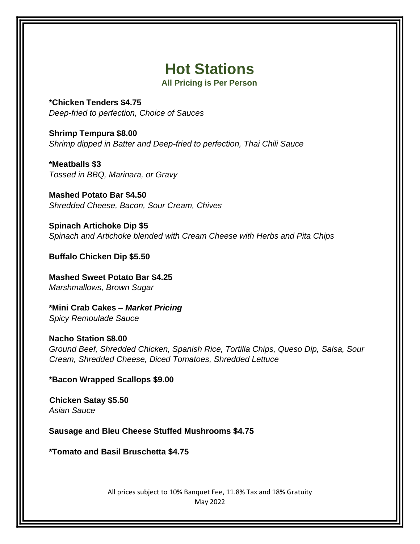# **Hot Stations**

**All Pricing is Per Person** 

**\*Chicken Tenders \$4.75** *Deep-fried to perfection, Choice of Sauces* 

**Shrimp Tempura \$8.00**  *Shrimp dipped in Batter and Deep-fried to perfection, Thai Chili Sauce* 

**\*Meatballs \$3** *Tossed in BBQ, Marinara, or Gravy* 

**Mashed Potato Bar \$4.50** *Shredded Cheese, Bacon, Sour Cream, Chives* 

**Spinach Artichoke Dip \$5** *Spinach and Artichoke blended with Cream Cheese with Herbs and Pita Chips* 

**Buffalo Chicken Dip \$5.50**

**Mashed Sweet Potato Bar \$4.25** *Marshmallows, Brown Sugar* 

**\*Mini Crab Cakes –** *Market Pricing Spicy Remoulade Sauce* 

**Nacho Station \$8.00** *Ground Beef, Shredded Chicken, Spanish Rice, Tortilla Chips, Queso Dip, Salsa, Sour Cream, Shredded Cheese, Diced Tomatoes, Shredded Lettuce* 

**\*Bacon Wrapped Scallops \$9.00**

**Chicken Satay \$5.50** *Asian Sauce*

**Sausage and Bleu Cheese Stuffed Mushrooms \$4.75**

**\*Tomato and Basil Bruschetta \$4.75**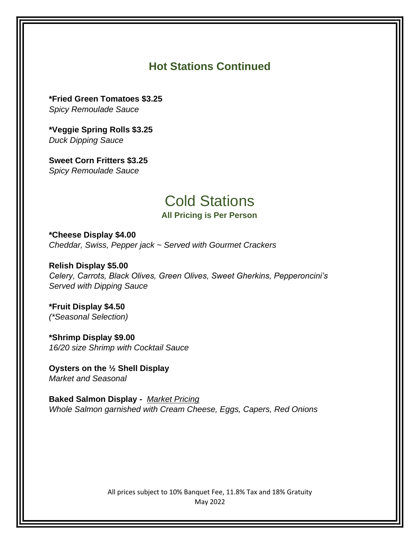# **Hot Stations Continued**

**\*Fried Green Tomatoes \$3.25** *Spicy Remoulade Sauce* 

**\*Veggie Spring Rolls \$3.25** *Duck Dipping Sauce* 

**Sweet Corn Fritters \$3.25** *Spicy Remoulade Sauce* 

# Cold Stations **All Pricing is Per Person**

**\*Cheese Display \$4.00**  *Cheddar, Swiss, Pepper jack ~ Served with Gourmet Crackers* 

**Relish Display \$5.00**  *Celery, Carrots, Black Olives, Green Olives, Sweet Gherkins, Pepperoncini's Served with Dipping Sauce* 

**\*Fruit Display \$4.50** *(\*Seasonal Selection)* 

**\*Shrimp Display \$9.00** *16/20 size Shrimp with Cocktail Sauce* 

**Oysters on the ½ Shell Display**  *Market and Seasonal* 

**Baked Salmon Display -** *Market Pricing Whole Salmon garnished with Cream Cheese, Eggs, Capers, Red Onions*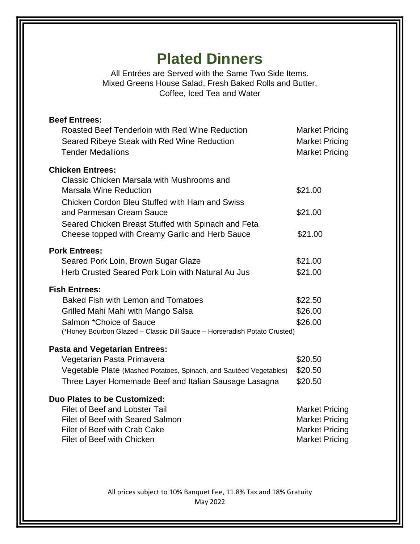# **Plated Dinners**

All Entrées are Served with the Same Two Side Items. Mixed Greens House Salad, Fresh Baked Rolls and Butter, Coffee, Iced Tea and Water

| <b>Beef Entrees:</b><br>Roasted Beef Tenderloin with Red Wine Reduction<br>Seared Ribeye Steak with Red Wine Reduction<br><b>Tender Medallions</b> | <b>Market Pricing</b><br><b>Market Pricing</b><br><b>Market Pricing</b> |
|----------------------------------------------------------------------------------------------------------------------------------------------------|-------------------------------------------------------------------------|
| <b>Chicken Entrees:</b>                                                                                                                            |                                                                         |
| Classic Chicken Marsala with Mushrooms and<br><b>Marsala Wine Reduction</b>                                                                        | \$21.00                                                                 |
| Chicken Cordon Bleu Stuffed with Ham and Swiss                                                                                                     |                                                                         |
| and Parmesan Cream Sauce<br>Seared Chicken Breast Stuffed with Spinach and Feta                                                                    | \$21.00                                                                 |
| Cheese topped with Creamy Garlic and Herb Sauce                                                                                                    | \$21.00                                                                 |
| <b>Pork Entrees:</b>                                                                                                                               |                                                                         |
| Seared Pork Loin, Brown Sugar Glaze                                                                                                                | \$21.00                                                                 |
| Herb Crusted Seared Pork Loin with Natural Au Jus                                                                                                  | \$21.00                                                                 |
| <b>Fish Entrees:</b>                                                                                                                               |                                                                         |
| <b>Baked Fish with Lemon and Tomatoes</b>                                                                                                          | \$22.50                                                                 |
| Grilled Mahi Mahi with Mango Salsa                                                                                                                 | \$26.00                                                                 |
| Salmon *Choice of Sauce                                                                                                                            | \$26.00                                                                 |
| (*Honey Bourbon Glazed - Classic Dill Sauce - Horseradish Potato Crusted)                                                                          |                                                                         |
| <b>Pasta and Vegetarian Entrees:</b>                                                                                                               |                                                                         |
| Vegetarian Pasta Primavera                                                                                                                         | \$20.50                                                                 |
| Vegetable Plate (Mashed Potatoes, Spinach, and Sautéed Vegetables)                                                                                 | \$20.50                                                                 |
| Three Layer Homemade Beef and Italian Sausage Lasagna                                                                                              | \$20.50                                                                 |
| Duo Plates to be Customized:                                                                                                                       |                                                                         |
| <b>Filet of Beef and Lobster Tail</b>                                                                                                              | <b>Market Pricing</b>                                                   |
| Filet of Beef with Seared Salmon                                                                                                                   | <b>Market Pricing</b>                                                   |
| Filet of Beef with Crab Cake                                                                                                                       | <b>Market Pricing</b>                                                   |
| <b>Filet of Beef with Chicken</b>                                                                                                                  | <b>Market Pricing</b>                                                   |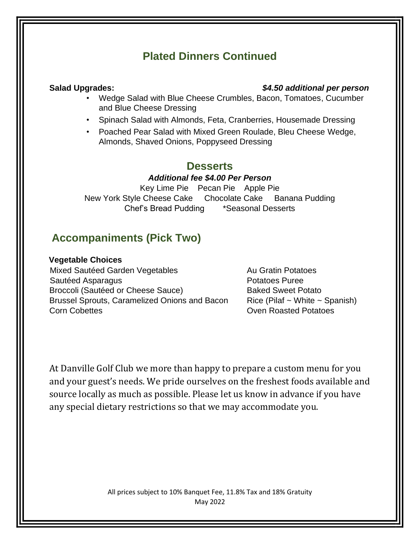# **Plated Dinners Continued**

### **Salad Upgrades:** *\$4.50 additional per person*

- Wedge Salad with Blue Cheese Crumbles, Bacon, Tomatoes, Cucumber and Blue Cheese Dressing
- Spinach Salad with Almonds, Feta, Cranberries, Housemade Dressing
- Poached Pear Salad with Mixed Green Roulade, Bleu Cheese Wedge, Almonds, Shaved Onions, Poppyseed Dressing

## **Desserts**

### *Additional fee \$4.00 Per Person*

Key Lime Pie Pecan Pie Apple Pie New York Style Cheese Cake Chocolate Cake Banana Pudding Chef's Bread Pudding \*Seasonal Desserts

# **Accompaniments (Pick Two)**

### **Vegetable Choices**

Mixed Sautéed Garden Vegetables **Au Gratin Potatoes** Sautéed Asparagus **Potatoes Puree** Broccoli (Sautéed or Cheese Sauce) Baked Sweet Potato Brussel Sprouts, Caramelized Onions and Bacon Rice (Pilaf  $\sim$  White  $\sim$  Spanish) **Corn Cobettes Corn Cobettes** Corn Cobettes Corn Cobettes Corn Cobettes Corn Cobettes Corn Cobettes Corn Cobettes Corn Cobettes Corn Cobettes Corn Cobettes Corn Cobettes Corn Cobettes Corn Cobettes Corn Cobettes Corn Cobet

At Danville Golf Club we more than happy to prepare a custom menu for you and your guest's needs. We pride ourselves on the freshest foods available and source locally as much as possible. Please let us know in advance if you have any special dietary restrictions so that we may accommodate you.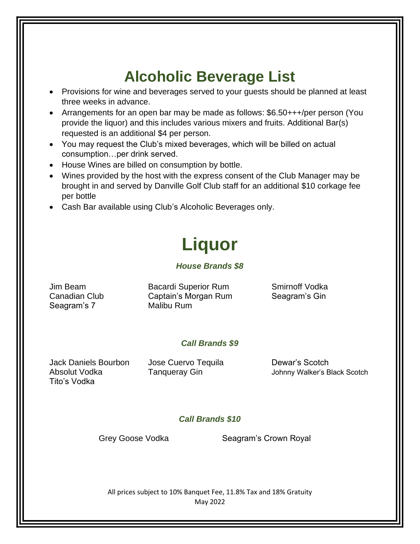# **Alcoholic Beverage List**

- Provisions for wine and beverages served to your guests should be planned at least three weeks in advance.
- Arrangements for an open bar may be made as follows: \$6.50+++/per person (You provide the liquor) and this includes various mixers and fruits. Additional Bar(s) requested is an additional \$4 per person.
- You may request the Club's mixed beverages, which will be billed on actual consumption…per drink served.
- House Wines are billed on consumption by bottle.
- Wines provided by the host with the express consent of the Club Manager may be brought in and served by Danville Golf Club staff for an additional \$10 corkage fee per bottle
- Cash Bar available using Club's Alcoholic Beverages only.

# **Liquor**

### *House Brands \$8*

| Jim Beam      | <b>Bacardi Superior Rum</b> | Smirnoff Vodka |
|---------------|-----------------------------|----------------|
| Canadian Club | Captain's Morgan Rum        | Seagram's Gin  |
| Seagram's 7   | Malibu Rum                  |                |

### *Call Brands \$9*

Jack Daniels Bourbon Jose Cuervo Tequila Dewar's Scotch Tito's Vodka

Absolut Vodka Tanqueray Gin Johnny Walker's Black Scotch

### *Call Brands \$10*

Grey Goose Vodka Seagram's Crown Royal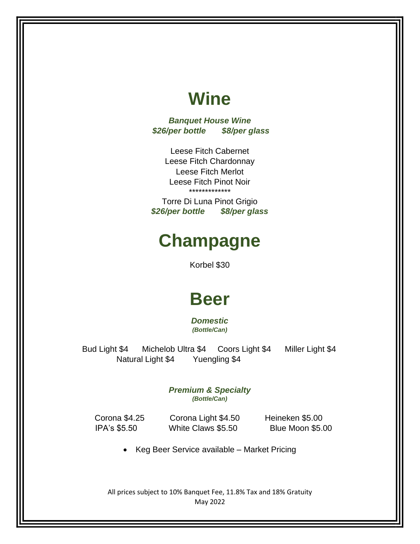# **Wine**

*Banquet House Wine \$26/per bottle \$8/per glass*

> Leese Fitch Cabernet Leese Fitch Chardonnay Leese Fitch Merlot Leese Fitch Pinot Noir \*\*\*\*\*\*\*\*\*\*\*\*\*

Torre Di Luna Pinot Grigio *\$26/per bottle \$8/per glass*

# **Champagne**

Korbel \$30

# **Beer**

*Domestic (Bottle/Can)*

 Bud Light \$4 Michelob Ultra \$4 Coors Light \$4 Miller Light \$4 Natural Light \$4 Yuengling \$4

> *Premium & Specialty (Bottle/Can)*

 Corona \$4.25 Corona Light \$4.50 Heineken \$5.00 IPA's \$5.50 White Claws \$5.50 Blue Moon \$5.00

• Keg Beer Service available – Market Pricing